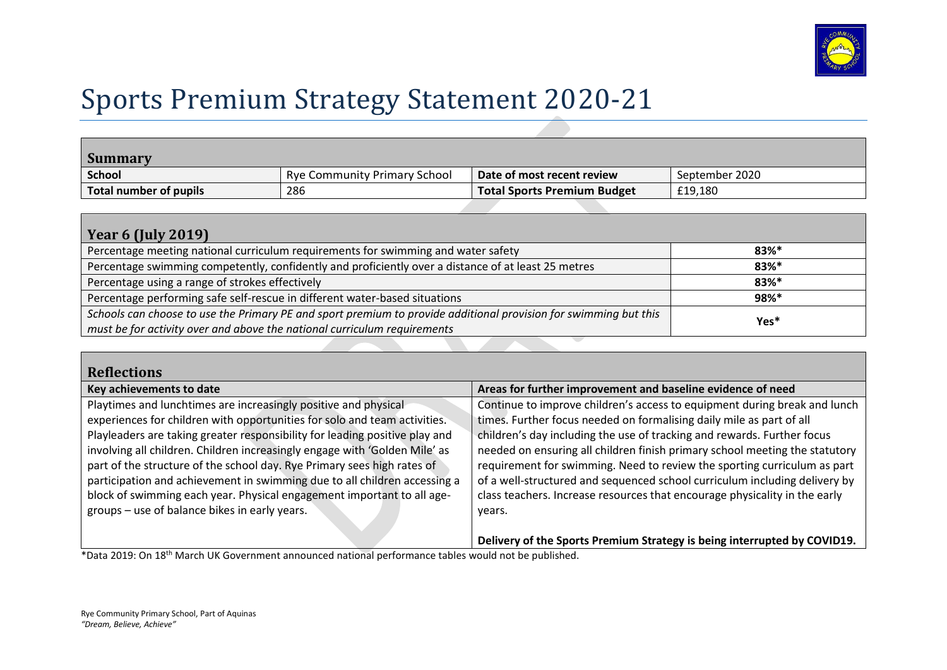

## Sports Premium Strategy Statement 2020-21

| <b>Summary</b>         |                                     |                                    |                |
|------------------------|-------------------------------------|------------------------------------|----------------|
| <b>School</b>          | <b>Rye Community Primary School</b> | $\Box$ Date of most recent review  | September 2020 |
| Total number of pupils | 286                                 | <b>Total Sports Premium Budget</b> | £19.180        |

| Year 6 (July 2019)                                                                                               |                     |  |  |  |
|------------------------------------------------------------------------------------------------------------------|---------------------|--|--|--|
| Percentage meeting national curriculum requirements for swimming and water safety                                | $83%$ <sup>*</sup>  |  |  |  |
| Percentage swimming competently, confidently and proficiently over a distance of at least 25 metres              | $83%$ *             |  |  |  |
| Percentage using a range of strokes effectively                                                                  | $83\%$ <sup>*</sup> |  |  |  |
| Percentage performing safe self-rescue in different water-based situations                                       | 98%*                |  |  |  |
| Schools can choose to use the Primary PE and sport premium to provide additional provision for swimming but this | Yes*                |  |  |  |
| must be for activity over and above the national curriculum requirements                                         |                     |  |  |  |

| <b>Reflections</b>                                                                                                                                                                                                                                                                                                                                                                                                                                                                                                                          |                                                                                                                                                                                                                                                                                                                                                                                                                                                                                                                                                     |
|---------------------------------------------------------------------------------------------------------------------------------------------------------------------------------------------------------------------------------------------------------------------------------------------------------------------------------------------------------------------------------------------------------------------------------------------------------------------------------------------------------------------------------------------|-----------------------------------------------------------------------------------------------------------------------------------------------------------------------------------------------------------------------------------------------------------------------------------------------------------------------------------------------------------------------------------------------------------------------------------------------------------------------------------------------------------------------------------------------------|
| Key achievements to date                                                                                                                                                                                                                                                                                                                                                                                                                                                                                                                    | Areas for further improvement and baseline evidence of need                                                                                                                                                                                                                                                                                                                                                                                                                                                                                         |
| Playtimes and lunchtimes are increasingly positive and physical<br>experiences for children with opportunities for solo and team activities.<br>Playleaders are taking greater responsibility for leading positive play and<br>involving all children. Children increasingly engage with 'Golden Mile' as<br>part of the structure of the school day. Rye Primary sees high rates of<br>participation and achievement in swimming due to all children accessing a<br>block of swimming each year. Physical engagement important to all age- | Continue to improve children's access to equipment during break and lunch<br>times. Further focus needed on formalising daily mile as part of all<br>children's day including the use of tracking and rewards. Further focus<br>needed on ensuring all children finish primary school meeting the statutory<br>requirement for swimming. Need to review the sporting curriculum as part<br>of a well-structured and sequenced school curriculum including delivery by<br>class teachers. Increase resources that encourage physicality in the early |
| groups – use of balance bikes in early years.                                                                                                                                                                                                                                                                                                                                                                                                                                                                                               | years.<br>Delivery of the Sports Premium Strategy is being interrupted by COVID19.                                                                                                                                                                                                                                                                                                                                                                                                                                                                  |

\*Data 2019: On 18th March UK Government announced national performance tables would not be published.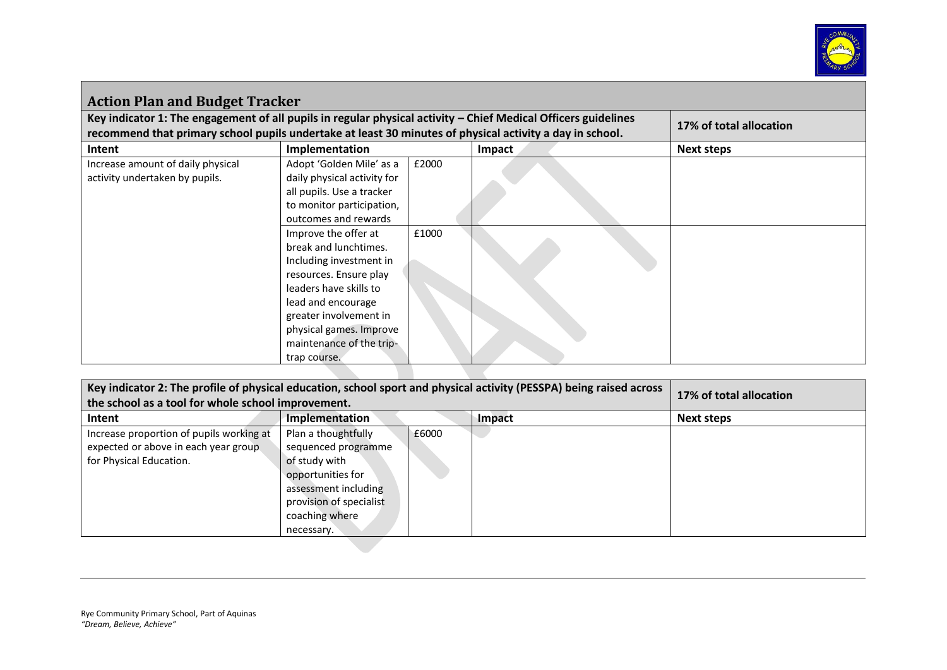

| <b>Action Plan and Budget Tracker</b>                                                                          |                                                                                                                                                                                                                                                     |       |               |            |  |
|----------------------------------------------------------------------------------------------------------------|-----------------------------------------------------------------------------------------------------------------------------------------------------------------------------------------------------------------------------------------------------|-------|---------------|------------|--|
| Key indicator 1: The engagement of all pupils in regular physical activity – Chief Medical Officers guidelines | 17% of total allocation                                                                                                                                                                                                                             |       |               |            |  |
| recommend that primary school pupils undertake at least 30 minutes of physical activity a day in school.       |                                                                                                                                                                                                                                                     |       |               |            |  |
| Intent<br>Increase amount of daily physical<br>activity undertaken by pupils.                                  | Implementation<br>Adopt 'Golden Mile' as a<br>daily physical activity for<br>all pupils. Use a tracker<br>to monitor participation,<br>outcomes and rewards                                                                                         | £2000 | <b>Impact</b> | Next steps |  |
|                                                                                                                | Improve the offer at<br>break and lunchtimes.<br>Including investment in<br>resources. Ensure play<br>leaders have skills to<br>lead and encourage<br>greater involvement in<br>physical games. Improve<br>maintenance of the trip-<br>trap course. | £1000 |               |            |  |

| Key indicator 2: The profile of physical education, school sport and physical activity (PESSPA) being raised across | 17% of total allocation  |       |  |                   |
|---------------------------------------------------------------------------------------------------------------------|--------------------------|-------|--|-------------------|
| the school as a tool for whole school improvement.                                                                  |                          |       |  |                   |
| Intent                                                                                                              | Implementation<br>Impact |       |  | <b>Next steps</b> |
| Increase proportion of pupils working at                                                                            | Plan a thoughtfully      | £6000 |  |                   |
| expected or above in each year group                                                                                | sequenced programme      |       |  |                   |
| for Physical Education.                                                                                             | of study with            |       |  |                   |
|                                                                                                                     | opportunities for        |       |  |                   |
|                                                                                                                     | assessment including     |       |  |                   |
|                                                                                                                     | provision of specialist  |       |  |                   |
|                                                                                                                     | coaching where           |       |  |                   |
|                                                                                                                     | necessary.               |       |  |                   |